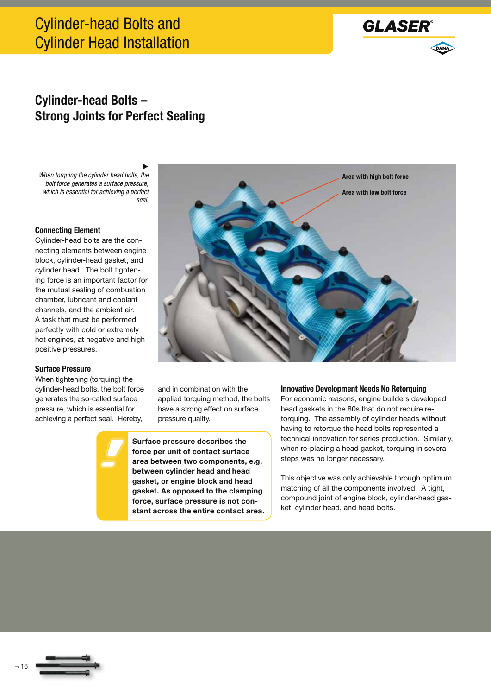# Cylinder-head Bolts and Cylinder Head Installation



### **Cylinder-head Bolts – Strong Joints for Perfect Sealing**

▶ *When torquing the cylinder head bolts, the bolt force generates a surface pressure, which is essential for achieving a perfect seal.*

#### **Connecting Element**

Cylinder-head bolts are the connecting elements between engine block, cylinder-head gasket, and cylinder head. The bolt tightening force is an important factor for the mutual sealing of combustion chamber, lubricant and coolant channels, and the ambient air. A task that must be performed perfectly with cold or extremely hot engines, at negative and high positive pressures.

#### **Surface Pressure**

When tightening (torquing) the cylinder-head bolts, the bolt force generates the so-called surface pressure, which is essential for achieving a perfect seal. Hereby,



and in combination with the applied torquing method, the bolts have a strong effect on surface pressure quality.

**Surface pressure describes the force per unit of contact surface area between two components, e.g. between cylinder head and head gasket, or engine block and head gasket. As opposed to the clamping force, surface pressure is not constant across the entire contact area.**

#### **Innovative Development Needs No Retorquing**

For economic reasons, engine builders developed head gaskets in the 80s that do not require retorquing. The assembly of cylinder heads without having to retorque the head bolts represented a technical innovation for series production. Similarly, when re-placing a head gasket, torquing in several steps was no longer necessary.

This objective was only achievable through optimum matching of all the components involved. A tight, compound joint of engine block, cylinder-head gasket, cylinder head, and head bolts.



¬ 16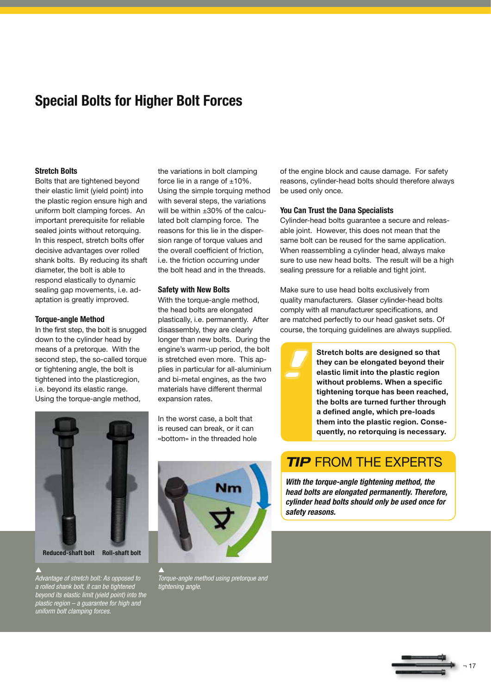## **Special Bolts for Higher Bolt Forces**

#### **Stretch Bolts**

Bolts that are tightened beyond their elastic limit (yield point) into the plastic region ensure high and uniform bolt clamping forces. An important prerequisite for reliable sealed joints without retorquing. In this respect, stretch bolts offer decisive advantages over rolled shank bolts. By reducing its shaft diameter, the bolt is able to respond elastically to dynamic sealing gap movements, i.e. adaptation is greatly improved.

#### **Torque-angle Method**

In the first step, the bolt is snugged down to the cylinder head by means of a pretorque. With the second step, the so-called torque or tightening angle, the bolt is tightened into the plasticregion, i.e. beyond its elastic range. Using the torque-angle method,

the variations in bolt clamping force lie in a range of  $\pm 10\%$ . Using the simple torquing method with several steps, the variations will be within ±30% of the calculated bolt clamping force. The reasons for this lie in the dispersion range of torque values and the overall coefficient of friction, i.e. the friction occurring under the bolt head and in the threads.

#### **Safety with New Bolts**

With the torque-angle method, the head bolts are elongated plastically, i.e. permanently. After disassembly, they are clearly longer than new bolts. During the engine's warm-up period, the bolt is stretched even more. This applies in particular for all-aluminium and bi-metal engines, as the two materials have different thermal expansion rates.

In the worst case, a bolt that is reused can break, or it can «bottom» in the threaded hole



 $\blacktriangle$ *Torque-angle method using pretorque and tightening angle.*

of the engine block and cause damage. For safety reasons, cylinder-head bolts should therefore always be used only once.

#### **You Can Trust the Dana Specialists**

Cylinder-head bolts guarantee a secure and releasable joint. However, this does not mean that the same bolt can be reused for the same application. When reassembling a cylinder head, always make sure to use new head bolts. The result will be a high sealing pressure for a reliable and tight joint.

Make sure to use head bolts exclusively from quality manufacturers. Glaser cylinder-head bolts comply with all manufacturer specifications, and are matched perfectly to our head gasket sets. Of course, the torquing guidelines are always supplied.

> **Stretch bolts are designed so that they can be elongated beyond their elastic limit into the plastic region without problems. When a specific tightening torque has been reached, the bolts are turned further through a defined angle, which pre-loads them into the plastic region. Consequently, no retorquing is necessary.**

### **TIP FROM THE EXPERTS**

*With the torque-angle tightening method, the head bolts are elongated permanently. Therefore, cylinder head bolts should only be used once for safety reasons.*





**Reduced-shaft bolt Roll-shaft bolt**

 $\blacktriangle$ 

*Advantage of stretch bolt: As opposed to a rolled shank bolt, it can be tightened beyond its elastic limit (yield point) into the plastic region – a guarantee for high and uniform bolt clamping forces.*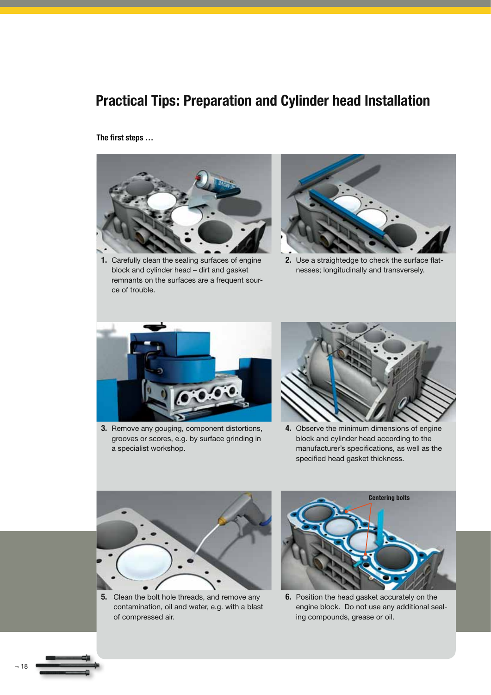## **Practical Tips: Preparation and Cylinder head Installation**

**The first steps …** 



**1.** Carefully clean the sealing surfaces of engine block and cylinder head – dirt and gasket remnants on the surfaces are a frequent source of trouble.



**2.** Use a straightedge to check the surface flatnesses; longitudinally and transversely.



**3.** Remove any gouging, component distortions, grooves or scores, e.g. by surface grinding in a specialist workshop.



**4.** Observe the minimum dimensions of engine block and cylinder head according to the manufacturer's specifications, as well as the specified head gasket thickness.



**5.** Clean the bolt hole threads, and remove any contamination, oil and water, e.g. with a blast of compressed air.



**6.** Position the head gasket accurately on the engine block. Do not use any additional sealing compounds, grease or oil.